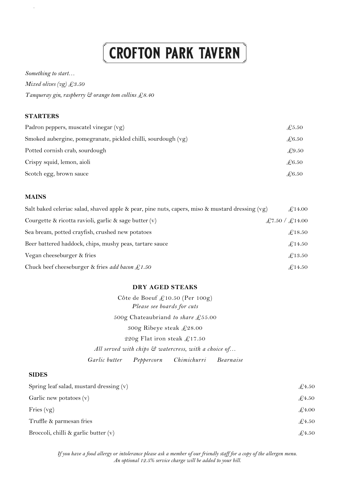# **CROFTON PARK TAVERN**

*Something to start… Mixed olives (vg) £3.50 Tanqueray gin, raspberry & orange tom collins £8.40* 

## **STARTERS**

.

| Padron peppers, muscatel vinegar (vg)                         | $\pounds$ 5.50 |
|---------------------------------------------------------------|----------------|
| Smoked aubergine, pomegranate, pickled chilli, sourdough (vg) | $\pounds$ 6.50 |
| Potted cornish crab, sourdough                                | £9.50          |
| Crispy squid, lemon, aioli                                    | $\pounds 6.50$ |
| Scotch egg, brown sauce                                       | $\pounds 6.50$ |

### **MAINS**

| Salt baked celeriac salad, shaved apple & pear, pine nuts, capers, miso & mustard dressing $(vg)$ | £14.00         |
|---------------------------------------------------------------------------------------------------|----------------|
| Courgette & ricotta ravioli, garlic & sage butter $(v)$                                           | £7.50 / £14.00 |
| Sea bream, potted crayfish, crushed new potatoes                                                  | £18.50         |
| Beer battered haddock, chips, mushy peas, tartare sauce                                           | £14.50         |
| Vegan cheeseburger & fries                                                                        | £13.50         |
| Chuck beef cheeseburger & fries add bacon $\mathcal{L}1.50$                                       | £14.50         |

# **DRY AGED STEAKS**

500g Chateaubriand *to share* £55.00 220g Flat iron steak  $£17.50$ Garlic butter Côte de Boeuf £10.50 (Per 100g) *Please see boards for cuts* 300g Ribeye steak £28.00 *All served with chips & watercress, with a choice of… Garlic butter Peppercorn Chimichurri Bearnaise*

# **SIDES**

| Spring leaf salad, mustard dressing $(v)$ | $\pounds$ 4.50 |
|-------------------------------------------|----------------|
| Garlic new potatoes $(v)$                 | $\pounds$ 4.50 |
| Fries $(vg)$                              | $\pounds4.00$  |
| Truffle & parmesan fries                  | $\pounds$ 4.50 |
| Broccoli, chilli & garlic butter $(v)$    | $\pounds$ 4.50 |

*If you have a food allergy or intolerance please ask a member of our friendly staff for a copy of the allergen menu. An optional 12.5% service charge will be added to your bill.*